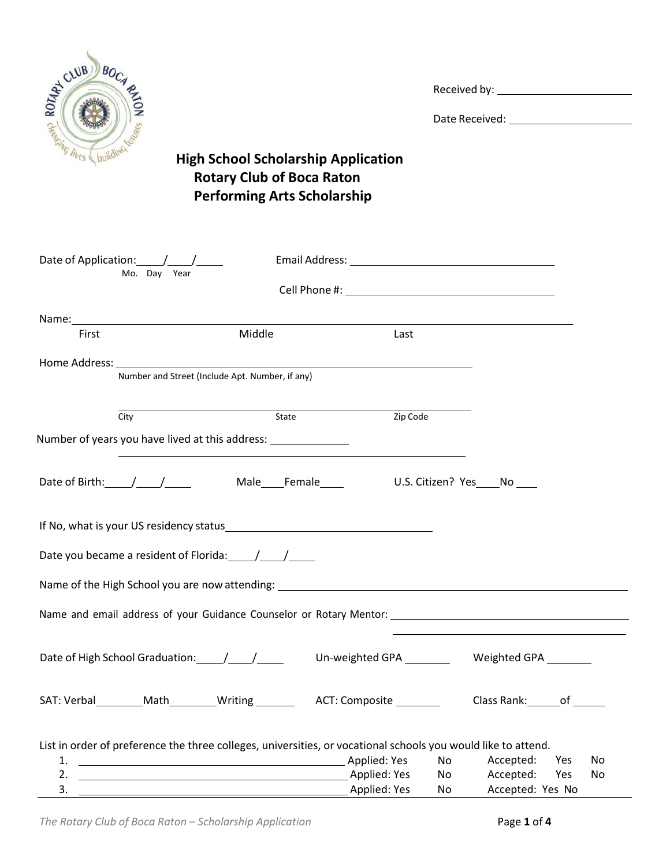

Date Received:

## **High School Scholarship Application Rotary Club of Boca Raton Performing Arts Scholarship**

| Date of Application: / /                                                                                                                                                                                                       |                                                 |              |            |                                                 |    |
|--------------------------------------------------------------------------------------------------------------------------------------------------------------------------------------------------------------------------------|-------------------------------------------------|--------------|------------|-------------------------------------------------|----|
| Mo. Day Year                                                                                                                                                                                                                   |                                                 |              |            |                                                 |    |
| Name: Name: Name and All Contract and All Contract and All Contract and All Contract and All Contract and All Contract and All Contract and All Contract and All Contract and All Contract and All Contract and All Contract a |                                                 |              |            |                                                 |    |
| First                                                                                                                                                                                                                          | Middle                                          | Last         |            |                                                 |    |
|                                                                                                                                                                                                                                |                                                 |              |            |                                                 |    |
|                                                                                                                                                                                                                                | Number and Street (Include Apt. Number, if any) |              |            |                                                 |    |
| City                                                                                                                                                                                                                           | State                                           | Zip Code     |            |                                                 |    |
| Number of years you have lived at this address:                                                                                                                                                                                |                                                 |              |            |                                                 |    |
| Date of Birth: \[\sqrting \] \[\sqrting \] \] \[\sqrting \] \] \] Male ____ Female ____ \[\sqrting \] \] \.S. Citizen? \[\sqrting \] \[\sqrting \] \] \[\sqrting \] \] \] \[\sqrting \] \] \[\sqrting \] \] \[\sqrting \] \] \ |                                                 |              |            |                                                 |    |
| If No, what is your US residency status example and the status of the status of the status of the status of the                                                                                                                |                                                 |              |            |                                                 |    |
| Date you became a resident of Florida: //////                                                                                                                                                                                  |                                                 |              |            |                                                 |    |
| Name of the High School you are now attending: __________________________________                                                                                                                                              |                                                 |              |            |                                                 |    |
|                                                                                                                                                                                                                                |                                                 |              |            |                                                 |    |
| Date of High School Graduation: / / /                                                                                                                                                                                          |                                                 |              |            | Un-weighted GPA _________ Weighted GPA ________ |    |
| SAT: Verbal ________Math_________Writing _______________ACT: Composite ________________Class Rank: ______of _______                                                                                                            |                                                 |              |            |                                                 |    |
| List in order of preference the three colleges, universities, or vocational schools you would like to attend.                                                                                                                  |                                                 |              |            |                                                 |    |
| <b>Example 2018</b> Applied: Yes<br>1.                                                                                                                                                                                         |                                                 |              | No control | Accepted: Yes                                   | No |
| 3.                                                                                                                                                                                                                             |                                                 | Applied: Yes | No<br>No   | Accepted: Yes<br>Accepted: Yes No               | No |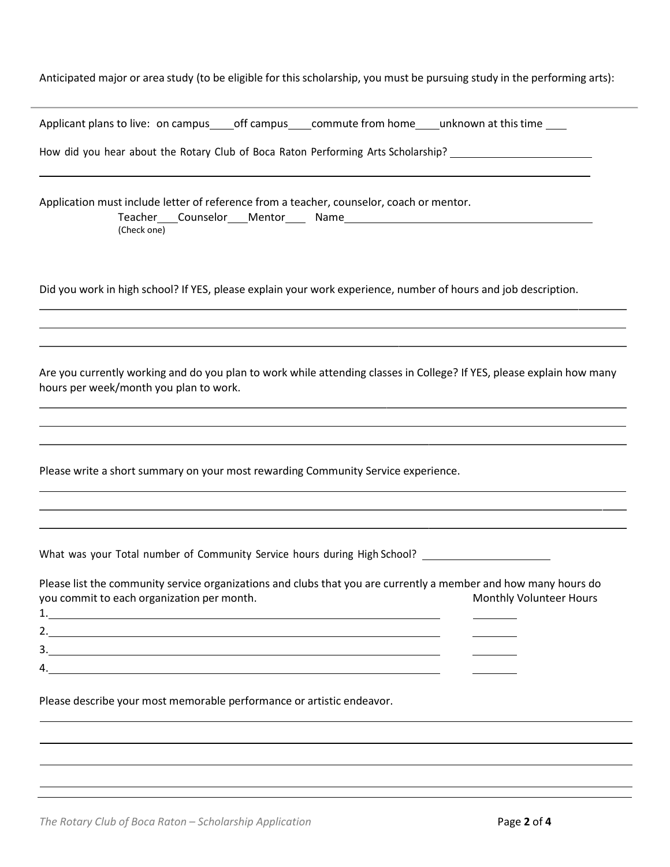| Anticipated major or area study (to be eligible for this scholarship, you must be pursuing study in the performing arts):                                                                             |
|-------------------------------------------------------------------------------------------------------------------------------------------------------------------------------------------------------|
| Applicant plans to live: on campus_____off campus_____commute from home_____unknown at this time _____                                                                                                |
| How did you hear about the Rotary Club of Boca Raton Performing Arts Scholarship? ___________________________                                                                                         |
| Application must include letter of reference from a teacher, counselor, coach or mentor.<br>(Check one)                                                                                               |
| Did you work in high school? If YES, please explain your work experience, number of hours and job description.                                                                                        |
| Are you currently working and do you plan to work while attending classes in College? If YES, please explain how many<br>hours per week/month you plan to work.                                       |
| Please write a short summary on your most rewarding Community Service experience.                                                                                                                     |
| What was your Total number of Community Service hours during High School? ____                                                                                                                        |
| Please list the community service organizations and clubs that you are currently a member and how many hours do<br>you commit to each organization per month.<br><b>Monthly Volunteer Hours</b><br>1. |
| 4.                                                                                                                                                                                                    |
| Please describe your most memorable performance or artistic endeavor.                                                                                                                                 |
|                                                                                                                                                                                                       |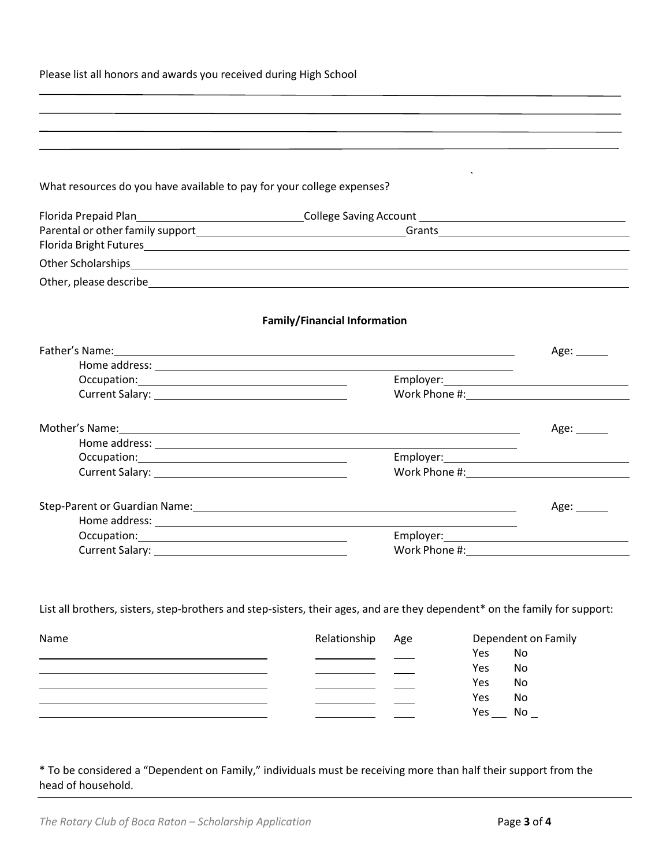| Please list all honors and awards you received during High School                                                                                                                                                              |                                     |               |                                                                                  |  |  |
|--------------------------------------------------------------------------------------------------------------------------------------------------------------------------------------------------------------------------------|-------------------------------------|---------------|----------------------------------------------------------------------------------|--|--|
| ,我们也不会有什么。""我们的人,我们也不会有什么?""我们的人,我们也不会有什么?""我们的人,我们也不会有什么?""我们的人,我们也不会有什么?""我们的人                                                                                                                                               |                                     |               |                                                                                  |  |  |
|                                                                                                                                                                                                                                |                                     |               | ,我们也不能会在这里,我们的人们也不能会在这里,我们也不能会在这里,我们也不能会在这里,我们也不能会不能会不能会不能会。""我们,我们也不能会不能会不能会不能会 |  |  |
|                                                                                                                                                                                                                                |                                     |               |                                                                                  |  |  |
|                                                                                                                                                                                                                                |                                     |               |                                                                                  |  |  |
| What resources do you have available to pay for your college expenses?                                                                                                                                                         |                                     |               |                                                                                  |  |  |
| Florida Prepaid Plan___________________________________College Saving Account ________________________________                                                                                                                 |                                     |               |                                                                                  |  |  |
|                                                                                                                                                                                                                                |                                     |               |                                                                                  |  |  |
|                                                                                                                                                                                                                                |                                     |               |                                                                                  |  |  |
| Other Scholarships experience and the contract of the contract of the contract of the contract of the contract of the contract of the contract of the contract of the contract of the contract of the contract of the contract |                                     |               |                                                                                  |  |  |
| Other, please describe experiments and the set of the set of the set of the set of the set of the set of the set of the set of the set of the set of the set of the set of the set of the set of the set of the set of the set |                                     |               |                                                                                  |  |  |
|                                                                                                                                                                                                                                | <b>Family/Financial Information</b> |               |                                                                                  |  |  |
|                                                                                                                                                                                                                                |                                     |               |                                                                                  |  |  |
| Father's Name: 1988 Contract to the contract of the contract of the contract of the contract of the contract of the contract of the contract of the contract of the contract of the contract of the contract of the contract o |                                     |               | Age: $\_\_$                                                                      |  |  |
|                                                                                                                                                                                                                                |                                     |               | Employer: Employer:                                                              |  |  |
|                                                                                                                                                                                                                                |                                     |               | Work Phone #: Work Phone #:                                                      |  |  |
|                                                                                                                                                                                                                                |                                     |               |                                                                                  |  |  |
| Mother's Name: 1988 and 2008 and 2008 and 2008 and 2008 and 2008 and 2008 and 2008 and 2008 and 2008 and 2008                                                                                                                  |                                     |               | Age: $\_\_\_\_\_\_\_\$                                                           |  |  |
|                                                                                                                                                                                                                                |                                     |               |                                                                                  |  |  |
|                                                                                                                                                                                                                                |                                     |               |                                                                                  |  |  |
|                                                                                                                                                                                                                                |                                     |               |                                                                                  |  |  |
| Step-Parent or Guardian Name: Manual According to the Contract of Contract of Contract of Contract of Contract of Contract of Contract of Contract of Contract of Contract of Contract of Contract of Contract of Contract of  |                                     |               | Age: $\_\_\_\_\_\_\_\_\$                                                         |  |  |
|                                                                                                                                                                                                                                |                                     |               |                                                                                  |  |  |
| Occupation: <u>contract and contract and contract and contract and contract and contract and contract of the set</u>                                                                                                           |                                     |               |                                                                                  |  |  |
| <b>Current Salary:</b>                                                                                                                                                                                                         |                                     | Work Phone #: |                                                                                  |  |  |
|                                                                                                                                                                                                                                |                                     |               |                                                                                  |  |  |
|                                                                                                                                                                                                                                |                                     |               |                                                                                  |  |  |
| List all brothers, sisters, step-brothers and step-sisters, their ages, and are they dependent* on the family for support:                                                                                                     |                                     |               |                                                                                  |  |  |
|                                                                                                                                                                                                                                |                                     |               |                                                                                  |  |  |
| Name                                                                                                                                                                                                                           | Relationship                        | Age           | Dependent on Family                                                              |  |  |
|                                                                                                                                                                                                                                |                                     |               | Yes<br>No                                                                        |  |  |
|                                                                                                                                                                                                                                |                                     |               | No<br>Yes                                                                        |  |  |
|                                                                                                                                                                                                                                |                                     |               | Yes<br>No                                                                        |  |  |
|                                                                                                                                                                                                                                |                                     |               | Yes<br>No                                                                        |  |  |
|                                                                                                                                                                                                                                |                                     |               | Yes $\_\_\$ No $\_\$                                                             |  |  |

\* To be considered a "Dependent on Family," individuals must be receiving more than half their support from the head of household.